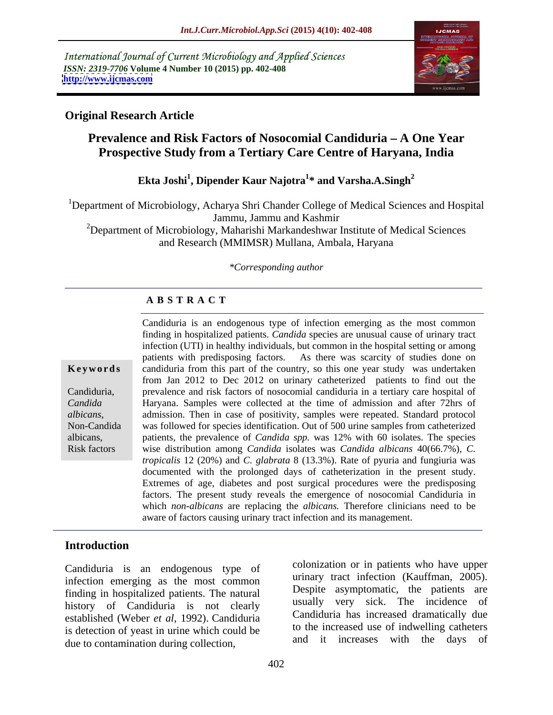International Journal of Current Microbiology and Applied Sciences *ISSN: 2319-7706* **Volume 4 Number 10 (2015) pp. 402-408 <http://www.ijcmas.com>**



## **Original Research Article**

# **Prevalence and Risk Factors of Nosocomial Candiduria A One Year Prospective Study from a Tertiary Care Centre of Haryana, India**

### $\mathbf{Ekta}$  Joshi $^1$ , Dipender Kaur Najotra $^1*$  and Varsha.A.Singh $^2$ **\* and Varsha.A.Singh<sup>2</sup>**

<sup>1</sup>Department of Microbiology, Acharya Shri Chander College of Medical Sciences and Hospital Jammu, Jammu and Kashmir

<sup>2</sup>Department of Microbiology, Maharishi Markandeshwar Institute of Medical Sciences and Research (MMIMSR) Mullana, Ambala, Haryana

### *\*Corresponding author*

### **A B S T R A C T**

Risk factors

Candiduria is an endogenous type of infection emerging as the most common finding in hospitalized patients. *Candida* species are unusual cause of urinary tract infection (UTI) in healthy individuals, but common in the hospital setting or among patients with predisposing factors. As there was scarcity of studies done on **Keywords** candiduria from this part of the country, so this one year study was undertaken from Jan 2012 to Dec 2012 on urinary catheterized patients to find out the prevalence and risk factors of nosocomial candiduria in a tertiary care hospital of Candiduria, Haryana. Samples were collected at the time of admission and after 72hrs of *Candida*  admission. Then in case of positivity, samples were repeated. Standard protocol albicans, and admission. Then in case of positivity, samples were repeated. Standard protocol<br>Non-Candida was followed for species identification. Out of 500 urine samples from catheterized patients, the prevalence of *Candida spp.* was 12% with 60 isolates. The species albicans, wise distribution among *Candida* isolates was *Candida albicans* 40(66.7%), *C. tropicalis* 12 (20%) and *C. glabrata* 8 (13.3%). Rate of pyuria and fungiuria was documented with the prolonged days of catheterization in the present study. Extremes of age, diabetes and post surgical procedures were the predisposing factors. The present study reveals the emergence of nosocomial Candiduria in which *non-albicans* are replacing the *albicans.* Therefore clinicians need to be aware of factors causing urinary tract infection and its management.

## **Introduction**

Candiduria is an endogenous type of infection emerging as the most common finding in hospitalized patients. The natural history of Candiduria is not clearly established (Weber *et al*, 1992). Candiduria is detection of yeast in urine which could be due to contamination during collection,

colonization or in patients who have upper urinary tract infection (Kauffman, 2005). Despite asymptomatic, the patients are usually very sick. The incidence of Candiduria has increased dramatically due to the increased use of indwelling catheters and it increases with the days of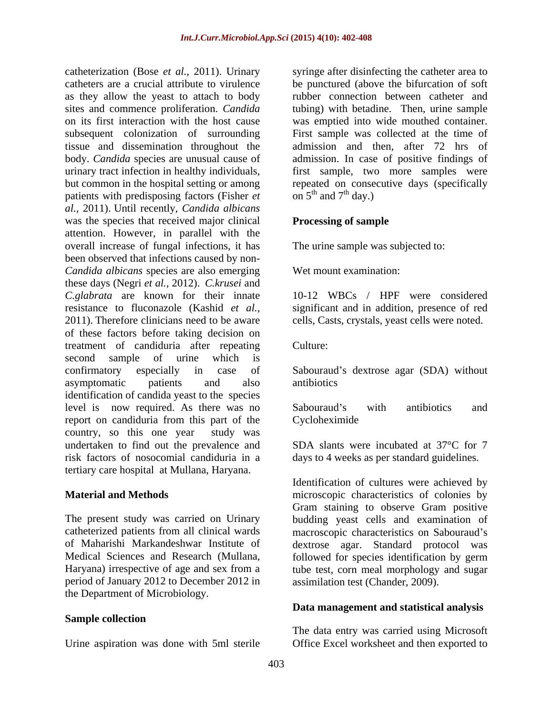catheterization (Bose *et al.*, 2011). Urinary syringe after disinfecting the catheter area to catheters are a crucial attribute to virulence as they allow the yeast to attach to body sites and commence proliferation. *Candida* tubing) with betadine. Then, urine sample on its first interaction with the host cause was emptied into wide mouthed container. subsequent colonization of surrounding tissue and dissemination throughout the admission and then, after 72 hrs of body. *Candida* species are unusual cause of admission. In case of positive findings of urinary tract infection in healthy individuals, first sample, two more samples were but common in the hospital setting or among repeated on consecutive days (specifically patients with predisposing factors (Fisher *et al.,* 2011). Until recently, *Candida albicans* was the species that received major clinical Processing of sample attention. However, in parallel with the overall increase of fungal infections, it has been observed that infections caused by non- *Candida albicans* species are also emerging these days (Negri *et al.,* 2012). *C.krusei* and *C.glabrata* are known for their innate resistance to fluconazole (Kashid *et al.,* significant and in addition, presence of red 2011). Therefore clinicians need to be aware cells, Casts, crystals, yeast cells were noted. of these factors before taking decision on treatment of candiduria after repeating second sample of urine which is confirmatory especially in case of Sabouraud's dextrose agar (SDA) without asymptomatic patients and also antibiotics identification of candida yeast to the species level is now required. As there was no Sabouraud's with antibiotics and report on candiduria from this part of the Cycloheximide country, so this one year study was undertaken to find out the prevalence and risk factors of nosocomial candiduria in a days to 4 weeks as per standard guidelines. tertiary care hospital at Mullana, Haryana.

period of January 2012 to December 2012 in the Department of Microbiology.

### **Sample collection**

be punctured (above the bifurcation of soft rubber connection between catheter and First sample was collected at the time of on  $5^{th}$  and  $7^{th}$  day.)

### **Processing of sample**

The urine sample was subjected to:

Wet mount examination:

10-12 WBCs / HPF were considered

Culture:<br>Sabouraud's dextrose agar (SDA) without antibiotics

Sabouraud's with antibiotics and Cycloheximide

SDA slants were incubated at 37°C for 7

**Material and Methods** microscopic characteristics of colonies by The present study was carried on Urinary budding yeast cells and examination of catheterized patients from all clinical wards macroscopic characteristics on Sabouraud's of Maharishi Markandeshwar Institute of dextrose agar. Standard protocol was Medical Sciences and Research (Mullana, followed for species identification by germ Haryana) irrespective of age and sex from a tube test, corn meal morphology and sugar Identification of cultures were achieved by Gram staining to observe Gram positive assimilation test (Chander, 2009).

### **Data management and statistical analysis**

Urine aspiration was done with 5ml sterile Office Excel worksheet and then exported toThe data entry was carried using Microsoft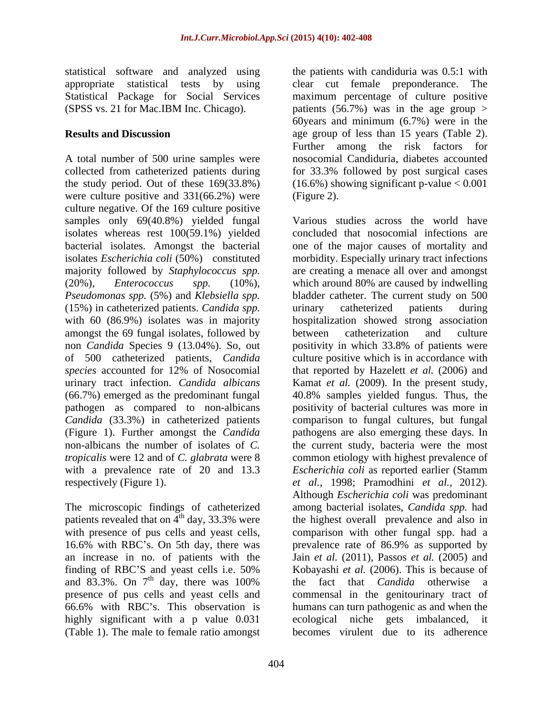A total number of 500 urine samples were collected from catheterized patients during for 33.3% followed by post surgical cases the study period. Out of these  $169(33.8%)$  (16.6%) showing significant p-value < 0.001 were culture positive and 331(66.2%) were (Figure 2). culture negative. Of the 169 culture positive samples only  $69(40.8%)$  yielded fungal isolates whereas rest 100(59.1%) yielded (15%) in catheterized patients. *Candida spp.* amongst the 69 fungal isolates, followed by between catheterization and culture non *Candida* Species 9 (13.04%). So, out urinary tract infection. *Candida albicans* with a prevalence rate of 20 and 13.3

The microscopic findings of catheterized patients revealed that on  $4<sup>th</sup>$  day, 33.3% were an increase in no. of patients with the and 83.3%. On  $7<sup>th</sup>$  day, there was 100% highly significant with a p value 0.031 (Table 1). The male to female ratio amongst

statistical software and analyzed using the patients with candiduria was 0.5:1 with appropriate statistical tests by using clear cut female preponderance. The Statistical Package for Social Services maximum percentage of culture positive (SPSS vs. 21 for Mac.IBM Inc. Chicago). patients (56.7%) was in the age group > **Results and Discussion age group of less than 15 years (Table 2).** 60 years and minimum  $(6.7\%)$  were in the Further among the risk factors for nosocomial Candiduria, diabetes accounted for 33.3% followed by post surgical cases (Figure 2).

bacterial isolates. Amongst the bacterial one of the major causes of mortality and isolates *Escherichia coli* (50%) constituted morbidity. Especially urinary tract infections majority followed by *Staphylococcus spp.* are creating a menace all over and amongst (20%), *Enterococcus spp.* (10%), which around 80% are caused by indwelling *Pseudomonas spp.* (5%) and *Klebsiella spp.* bladder catheter. The current study on 500 with 60 (86.9%) isolates was in majority hospitalization showed strong association of 500 catheterized patients, *Candida*  culture positive which is in accordance with *species* accounted for 12% of Nosocomial that reported by Hazelett *et al.* (2006) and (66.7%) emerged as the predominant fungal 40.8% samples yielded fungus. Thus, the pathogen as compared to non-albicans positivity of bacterial cultures was more in *Candida* (33.3%) in catheterized patients comparison to fungal cultures, but fungal (Figure 1). Further amongst the *Candida* pathogens are also emerging these days. In non-albicans the number of isolates of *C.* the current study, bacteria were the most *tropicalis* were 12 and of *C. glabrata* were 8 common etiology with highest prevalence of respectively (Figure 1). *et al.,* 1998; Pramodhini *et al.,* 2012). with presence of pus cells and yeast cells, comparison with other fungal spp. had a 16.6% with RBC's. On 5th day, there was prevalence rate of 86.9% as supported by finding of RBC'S and yeast cells i.e. 50% Kobayashi et al. (2006). This is because of  $^{th}$  day, there was 100% the fact that *Candida* otherwise a presence of pus cells and yeast cells and commensalin the genitourinary tract of 66.6% with RBC s. This observation is humans can turn pathogenic as and when the Various studies across the world have concluded that nosocomial infections are urinary catheterized patients during between catheterization and culture positivity in which 33.8% of patients were Kamat *et al.* (2009). In the present study, *Escherichia coli* as reported earlier (Stamm Although *Escherichia coli* was predominant among bacterial isolates, *Candida spp.* had the highest overall prevalence and also in Jain *et al.* (2011),Passos *et al.* (2005) and Kobayashi *et al.* (2006).This is because of the fact that *Candida* otherwise a ecological niche gets imbalanced, it becomes virulent due to its adherence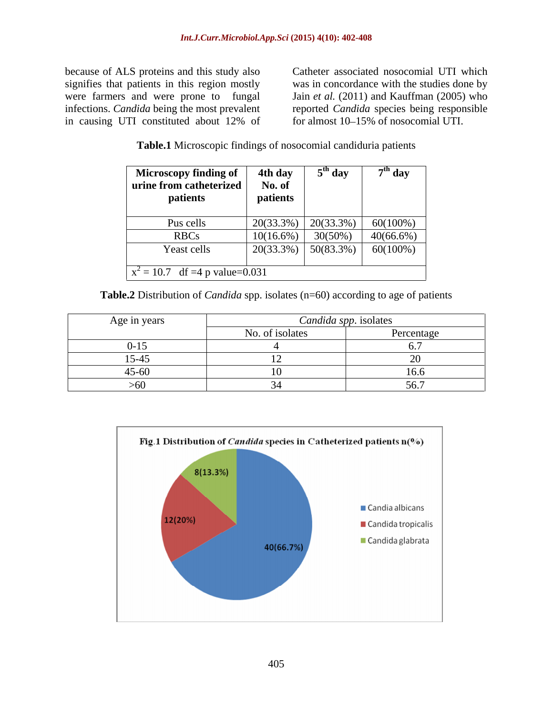because of ALS proteins and this study also Catheter associated nosocomial UTI which signifies that patients in this region mostly were farmers and were prone to fungal Jain *et al.* (2011) and Kauffman (2005) who infections. *Candida* being the most prevalent reported *Candida* species being responsible in causing UTI constituted about 12% of

was in concordance with the studies done by for almost 10–15% of nosocomial UTI.

| Table.1 Mio<br>I Microscopic findings of nosocomial candiduria patients |  |  |
|-------------------------------------------------------------------------|--|--|
|                                                                         |  |  |

| <b>Microscopy finding of</b>     | 4th day      | $5th$ day    | $7th$ day    |
|----------------------------------|--------------|--------------|--------------|
| urine from catheterized          | No. of       |              |              |
| patients                         | patients     |              |              |
| Pus cells                        | 20(33.3%)    | $20(33.3\%)$ | $60(100\%)$  |
|                                  |              |              |              |
| <b>RBCs</b>                      | $10(16.6\%)$ | $30(50\%)$   | $40(66.6\%)$ |
| Yeast cells                      | 20(33.3%)    | $50(83.3\%)$ | $60(100\%)$  |
| $x^2 = 10.7$ df =4 p value=0.031 |              |              |              |

**Table.2** Distribution of *Candida* spp. isolates (n=60) according to age of patients

| Age in years  | <i>Candida spp.</i> isolates         |                  |
|---------------|--------------------------------------|------------------|
|               | to of isolates<br>$\sim$<br>. INU. J | Percentage       |
| -15           |                                      |                  |
| $\frac{1}{2}$ |                                      |                  |
|               |                                      | $\sim$ .<br>10.0 |
| vv.           |                                      | JU.1             |

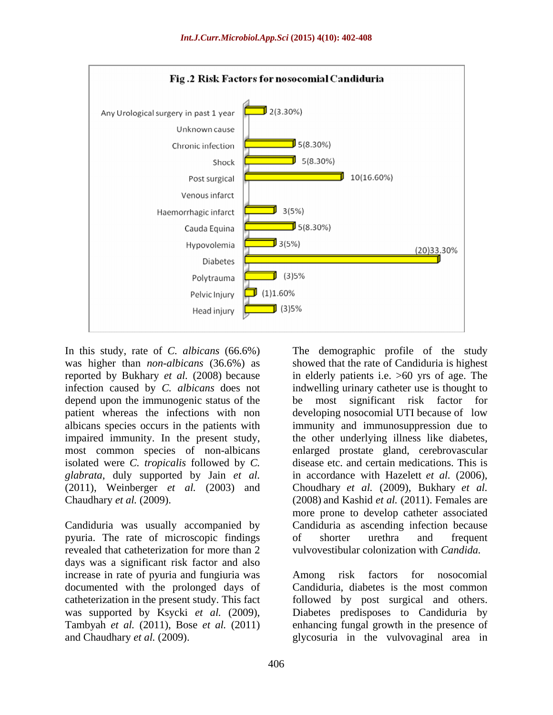

depend upon the immunogenic status of the be most significant risk factor for isolated were *C. tropicalis* followed by *C. glabrata*, duly supported by Jain *et al.*

Candiduria was usually accompanied by pyuria. The rate of microscopic findings revealed that catheterization for more than 2 vulvovestibular colonization with *Candida*. days was a significant risk factor and also increase in rate of pyuria and fungiuria was help has rate factors for no osocomial documented with the prolonged days of catheterization in the present study. This fact followed by post surgical and others. was supported by Ksycki *et al.* (2009), Diabetes predisposes to Candiduria by Tambyah *et al.* (2011), Bose *et al.* (2011) enhancing fungal growth in the presence of

In this study, rate of *C. albicans* (66.6%) The demographic profile of the study was higher than *non-albicans* (36.6%) as showed that the rate of Candiduria is highest reported by Bukhary *et al.* (2008) because in elderly patients i.e. >60 yrs of age. The infection caused by *C. albicans* does not indwelling urinary catheter use is thought to patient whereas the infections with non developing nosocomial UTI because of low albicans species occurs in the patients with immunity and immunosuppression due to impaired immunity. In the present study, the other underlying illness like diabetes, most common species of non-albicans enlarged prostate gland, cerebrovascular (2011), Weinberger *et al.* (2003) and Choudhary *et al.* (2009), Bukhary *et al.* Chaudhary *et al.* (2009). (2008) and Kashid *et al.* (2011). Females are be most significant risk factor for disease etc. and certain medications. This is in accordance with Hazelett *et al.* (2006), more prone to develop catheter associated Candiduria as ascending infection because of shorter urethra and frequent

and Chaudhary *et al.* (2009). glycosuria in the vulvovaginal area invulvovestibular colonization with *Candida.* Among risk factors for nosocomial Candiduria, diabetes is the most common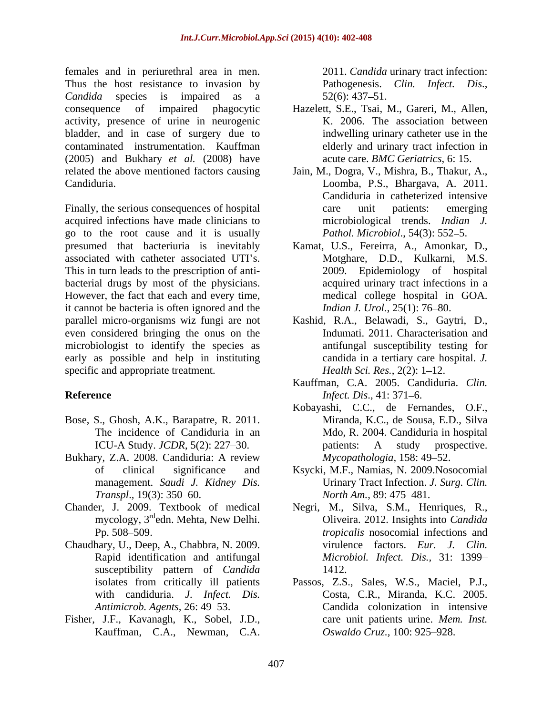females and in periurethral area in men. Thus the host resistance to invasion by Pathogenesis. Clin. Infect. Dis., *Candida* species is impaired as a consequence of impaired phagocytic Hazelett, S.E., Tsai, M., Gareri, M., Allen, activity, presence of urine in neurogenic bladder, and in case of surgery due to contaminated instrumentation. Kauffman (2005) and Bukhary *et al.* (2008) have related the above mentioned factors causing Jain, M., Dogra, V., Mishra, B., Thakur, A.,

Finally, the serious consequences of hospital care unit patients: emerging acquired infections have made clinicians to go to the root cause and it is usually presumed that bacteriuria is inevitably Kamat, U.S., Fereirra, A., Amonkar, D., associated with catheter associated UTI's. This in turn leads to the prescription of anti bacterial drugs by most of the physicians. However, the fact that each and every time, it cannot be bacteria is often ignored and the parallel micro-organisms wiz fungi are not Kashid, R.A., Belawadi, S., Gaytri, D., even considered bringing the onus on the microbiologist to identify the species as early as possible and help in instituting specific and appropriate treatment.

- Bose, S., Ghosh, A.K., Barapatre, R. 2011.
- Bukhary, Z.A. 2008. Candiduria: A review
- mycology, 3<sup>rd</sup>edn. Mehta, New Delhi.
- Chaudhary, U., Deep, A., Chabbra, N. 2009. susceptibility pattern of *Candida* 1412.
- Fisher, J.F., Kavanagh, K., Sobel, J.D., Kauffman, C.A., Newman, C.A.

2011. *Candida* urinary tract infection: Pathogenesis. *Clin. Infect. Dis*., 52(6): 437 51.

- K. 2006. The association between indwelling urinary catheter use in the elderly and urinary tract infection in acute care. *BMC Geriatrics*, 6: 15.
- Candiduria. Loomba, P.S., Bhargava, A. 2011. Candiduria in catheterized intensive care unit patients: emerging microbiological trends. *Indian J. Pathol. Microbiol.*, 54(3): 552–5.
	- Motghare, D.D., Kulkarni, M.S. 2009. Epidemiology of hospital acquired urinary tract infections in a medical college hospital in GOA. *Indian J. Urol.*, 25(1): 76-80.
	- Indumati. 2011. Characterisation and antifungal susceptibility testing for candida in a tertiary care hospital. *J. Health Sci. Res.*, 2(2): 1–12.
- **Reference** *Infect. Dis.*, 41: 371–6. Kauffman, C.A. 2005. Candiduria. *Clin. Infect. Dis.*, 41: 371–6.
	- The incidence of Candiduria in an Mdo, R. 2004. Candiduria in hospital ICU-A Study. *JCDR*, 5(2): 227–30. patients: A study prospective. Kobayashi, C.C., de Fernandes, O.F., Miranda, K.C., de Sousa, E.D., Silva patients: A study prospective. *Mycopathologia,* 158: 49–52.
	- of clinical significance and Ksycki, M.F., Namias, N. 2009.Nosocomial management. *Saudi J. Kidney Dis.* Urinary Tract Infection. *J. Surg. Clin. Transpl.*, 19(3): 350–60. *North Am.*, 89: 475–481. *North Am.*, 89: 475–481.
- Chander, J. 2009. Textbook of medical Negri, M., Silva, S.M., Henriques, R., Pp. 508 509. *tropicalis* nosocomial infections and Rapid identification and antifungal *Microbiol. Infect. Dis.,* 31: 1399 Oliveira. 2012. Insights into *Candida*  virulence factors. *Eur. J. Clin.* 1412.
	- isolates from critically ill patients Passos, Z.S., Sales, W.S., Maciel, P.J., with candiduria. *J. Infect. Dis.* Costa, C.R., Miranda, K.C. 2005. *Antimicrob. Agents,* 26: 49 53. Candida colonization in intensive care unit patients urine. *Mem. Inst. Oswaldo Cruz., 100: 925-928.*